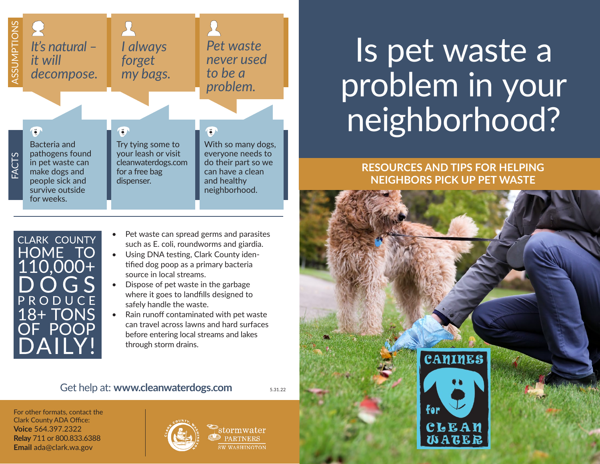

# Is pet waste a problem in your neighborhood?

**RESOURCES AND TIPS FOR HELPING NEIGHBORS PICK UP PET WASTE**



CLARK COUNTY HOME TO  $110,000+$  $G S$ PRODUCE 18+ TONS OF POOP **JAILY!** 

- Pet waste can spread germs and parasites such as E. coli, roundworms and giardia.
- Using DNA testing, Clark County identified dog poop as a primary bacteria source in local streams.
- Dispose of pet waste in the garbage where it goes to landfills designed to safely handle the waste.
- Rain runoff contaminated with pet waste can travel across lawns and hard surfaces before entering local streams and lakes through storm drains.

#### Get help at: **[www.cleanwaterdogs.com](http://www.cleanwaterdogs.com)**

5.31.22

For other formats, contact the Clark County ADA Office: **Voice** 564.397.2322 **Relay** 711 or 800.833.6388 **Email** [ada@clark.wa.gov](mailto:ada%40clark.wa.gov?subject=)



<sup>9</sup>stormwater **EXPARTNERS** W WASHINGTON